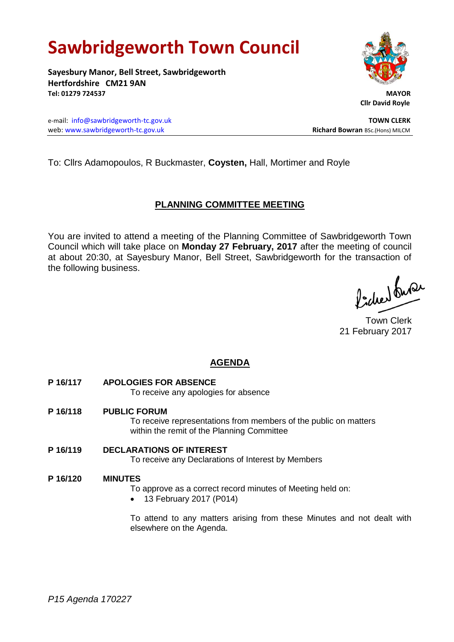# **Sawbridgeworth Town Council**

**Sayesbury Manor, Bell Street, Sawbridgeworth Hertfordshire CM21 9AN Tel: 01279 724537 MAYOR**

e-mail: [info@sawbridgeworth-tc.gov.uk](mailto:info@sawbridgeworth-tc.gov.uk) **TOWN CLERK** web: www.sawbridgeworth-tc.gov.uk **Richard Bowran** BSc.(Hons) MILCM



 **Cllr David Royle**

To: Cllrs Adamopoulos, R Buckmaster, **Coysten,** Hall, Mortimer and Royle

# **PLANNING COMMITTEE MEETING**

You are invited to attend a meeting of the Planning Committee of Sawbridgeworth Town Council which will take place on **Monday 27 February, 2017** after the meeting of council at about 20:30, at Sayesbury Manor, Bell Street, Sawbridgeworth for the transaction of the following business.

ladres buse

Town Clerk 21 February 2017

# **AGENDA**

**P 16/117 APOLOGIES FOR ABSENCE**

To receive any apologies for absence

**P 16/118 PUBLIC FORUM**

To receive representations from members of the public on matters within the remit of the Planning Committee

**P 16/119 DECLARATIONS OF INTEREST** To receive any Declarations of Interest by Members

# **P 16/120 MINUTES**

To approve as a correct record minutes of Meeting held on:

13 February 2017 (P014)

To attend to any matters arising from these Minutes and not dealt with elsewhere on the Agenda.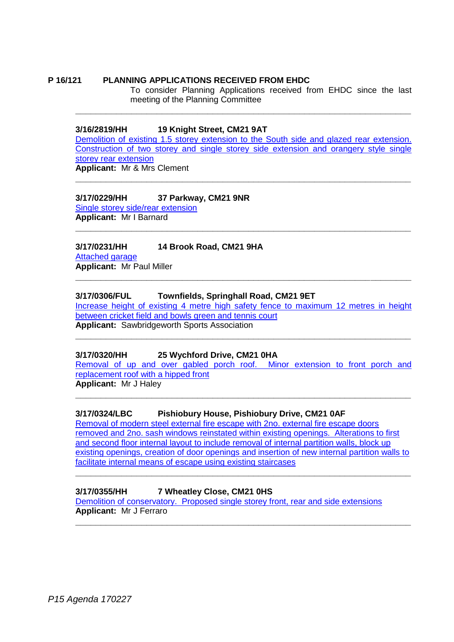## **P 16/121 PLANNING APPLICATIONS RECEIVED FROM EHDC**

To consider Planning Applications received from EHDC since the last meeting of the Planning Committee

#### **3/16/2819/HH 19 Knight Street, CM21 9AT**

[Demolition of existing 1.5 storey extension to the South side and glazed rear extension.](https://publicaccess.eastherts.gov.uk/online-applications/simpleSearchResults.do?action=firstPage)  Construction [of two storey and single storey side extension and orangery style single](https://publicaccess.eastherts.gov.uk/online-applications/simpleSearchResults.do?action=firstPage)  [storey rear extension](https://publicaccess.eastherts.gov.uk/online-applications/simpleSearchResults.do?action=firstPage) **Applicant:** Mr & Mrs Clement

**\_\_\_\_\_\_\_\_\_\_\_\_\_\_\_\_\_\_\_\_\_\_\_\_\_\_\_\_\_\_\_\_\_\_\_\_\_\_\_\_\_\_\_\_\_\_\_\_\_\_\_\_\_\_\_\_\_\_\_\_\_\_\_\_\_\_**

**\_\_\_\_\_\_\_\_\_\_\_\_\_\_\_\_\_\_\_\_\_\_\_\_\_\_\_\_\_\_\_\_\_\_\_\_\_\_\_\_\_\_\_\_\_\_\_\_\_\_\_\_\_\_\_\_\_\_\_\_\_\_\_\_\_\_**

## **3/17/0229/HH 37 Parkway, CM21 9NR**

[Single storey side/rear extension](https://publicaccess.eastherts.gov.uk/online-applications/applicationDetails.do?activeTab=summary&keyVal=OKLM8DGL00X00) **Applicant:** Mr I Barnard **\_\_\_\_\_\_\_\_\_\_\_\_\_\_\_\_\_\_\_\_\_\_\_\_\_\_\_\_\_\_\_\_\_\_\_\_\_\_\_\_\_\_\_\_\_\_\_\_\_\_\_\_\_\_\_\_\_\_\_\_\_\_\_\_\_\_**

# **3/17/0231/HH 14 Brook Road, CM21 9HA**

[Attached garage](https://publicaccess.eastherts.gov.uk/online-applications/applicationDetails.do?activeTab=summary&keyVal=OKLOKCGLN3T00) **Applicant:** Mr Paul Miller

#### **3/17/0306/FUL Townfields, Springhall Road, CM21 9ET**

[Increase height of existing 4 metre high safety fence to maximum 12 metres in height](https://publicaccess.eastherts.gov.uk/online-applications/applicationDetails.do?activeTab=summary&keyVal=OL1X9XGL00X00)  [between cricket field and bowls green and tennis court](https://publicaccess.eastherts.gov.uk/online-applications/applicationDetails.do?activeTab=summary&keyVal=OL1X9XGL00X00) **Applicant:** Sawbridgeworth Sports Association

**\_\_\_\_\_\_\_\_\_\_\_\_\_\_\_\_\_\_\_\_\_\_\_\_\_\_\_\_\_\_\_\_\_\_\_\_\_\_\_\_\_\_\_\_\_\_\_\_\_\_\_\_\_\_\_\_\_\_\_\_\_\_\_\_\_\_**

**\_\_\_\_\_\_\_\_\_\_\_\_\_\_\_\_\_\_\_\_\_\_\_\_\_\_\_\_\_\_\_\_\_\_\_\_\_\_\_\_\_\_\_\_\_\_\_\_\_\_\_\_\_\_\_\_\_\_\_\_\_\_\_\_\_\_**

#### **3/17/0320/HH 25 Wychford Drive, CM21 0HA**

[Removal of up and over gabled porch roof. Minor extension to front porch and](https://publicaccess.eastherts.gov.uk/online-applications/applicationDetails.do?activeTab=summary&keyVal=OL3RWZGL00X00)  [replacement roof with a hipped front](https://publicaccess.eastherts.gov.uk/online-applications/applicationDetails.do?activeTab=summary&keyVal=OL3RWZGL00X00)

**Applicant:** Mr J Haley **\_\_\_\_\_\_\_\_\_\_\_\_\_\_\_\_\_\_\_\_\_\_\_\_\_\_\_\_\_\_\_\_\_\_\_\_\_\_\_\_\_\_\_\_\_\_\_\_\_\_\_\_\_\_\_\_\_\_\_\_\_\_\_\_\_\_**

# **3/17/0324/LBC Pishiobury House, Pishiobury Drive, CM21 0AF**

[Removal of modern steel external fire escape with 2no. external fire escape doors](https://publicaccess.eastherts.gov.uk/online-applications/applicationDetails.do?activeTab=summary&keyVal=OL3W2BGLFIP00)  [removed and 2no. sash windows reinstated within existing openings. Alterations to first](https://publicaccess.eastherts.gov.uk/online-applications/applicationDetails.do?activeTab=summary&keyVal=OL3W2BGLFIP00)  [and second floor internal layout to include removal of internal partition walls, block up](https://publicaccess.eastherts.gov.uk/online-applications/applicationDetails.do?activeTab=summary&keyVal=OL3W2BGLFIP00)  [existing openings, creation of door openings and insertion of new internal partition walls to](https://publicaccess.eastherts.gov.uk/online-applications/applicationDetails.do?activeTab=summary&keyVal=OL3W2BGLFIP00)  [facilitate internal means of escape using existing staircases](https://publicaccess.eastherts.gov.uk/online-applications/applicationDetails.do?activeTab=summary&keyVal=OL3W2BGLFIP00)

**\_\_\_\_\_\_\_\_\_\_\_\_\_\_\_\_\_\_\_\_\_\_\_\_\_\_\_\_\_\_\_\_\_\_\_\_\_\_\_\_\_\_\_\_\_\_\_\_\_\_\_\_\_\_\_\_\_\_\_\_\_\_\_\_\_\_**

**\_\_\_\_\_\_\_\_\_\_\_\_\_\_\_\_\_\_\_\_\_\_\_\_\_\_\_\_\_\_\_\_\_\_\_\_\_\_\_\_\_\_\_\_\_\_\_\_\_\_\_\_\_\_\_\_\_\_\_\_\_\_\_\_\_\_**

#### **3/17/0355/HH 7 Wheatley Close, CM21 0HS**

[Demolition of conservatory. Proposed single storey front, rear and side extensions](https://publicaccess.eastherts.gov.uk/online-applications/applicationDetails.do?activeTab=summary&keyVal=OLB8OUGL00X00) **Applicant:** Mr J Ferraro